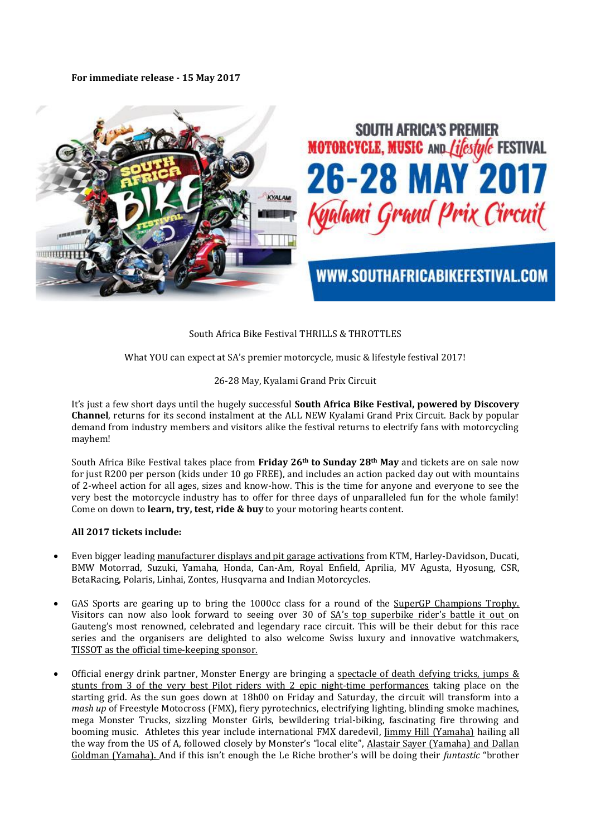**For immediate release - 15 May 2017** 



# South Africa Bike Festival THRILLS & THROTTLES

What YOU can expect at SA's premier motorcycle, music & lifestyle festival 2017!

## 26-28 May, Kyalami Grand Prix Circuit

It's just a few short days until the hugely successful **South Africa Bike Festival, powered by Discovery Channel**, returns for its second instalment at the ALL NEW Kyalami Grand Prix Circuit. Back by popular demand from industry members and visitors alike the festival returns to electrify fans with motorcycling mayhem!

South Africa Bike Festival takes place from **Friday 26th to Sunday 28th May** and tickets are on sale now for just R200 per person (kids under 10 go FREE), and includes an action packed day out with mountains of 2-wheel action for all ages, sizes and know-how. This is the time for anyone and everyone to see the very best the motorcycle industry has to offer for three days of unparalleled fun for the whole family! Come on down to **learn, try, test, ride & buy** to your motoring hearts content.

### **All 2017 tickets include:**

- Even bigger leading manufacturer displays and pit garage activations from KTM, Harley-Davidson, Ducati, BMW Motorrad, Suzuki, Yamaha, Honda, Can-Am, Royal Enfield, Aprilia, MV Agusta, Hyosung, CSR, BetaRacing, Polaris, Linhai, Zontes, Husqvarna and Indian Motorcycles.
- GAS Sports are gearing up to bring the 1000cc class for a round of the SuperGP Champions Trophy. Visitors can now also look forward to seeing over 30 of SA's top superbike rider's battle it out on Gauteng's most renowned, celebrated and legendary race circuit. This will be their debut for this race series and the organisers are delighted to also welcome Swiss luxury and innovative watchmakers, TISSOT as the official time-keeping sponsor.
- Official energy drink partner, Monster Energy are bringing a spectacle of death defying tricks, jumps & stunts from 3 of the very best Pilot riders with 2 epic night-time performances taking place on the starting grid. As the sun goes down at 18h00 on Friday and Saturday, the circuit will transform into a *mash up* of Freestyle Motocross (FMX), fiery pyrotechnics, electrifying lighting, blinding smoke machines, mega Monster Trucks, sizzling Monster Girls, bewildering trial-biking, fascinating fire throwing and booming music. Athletes this year include international FMX daredevil, *Jimmy Hill (Yamaha)* hailing all the way from the US of A, followed closely by Monster's "local elite", Alastair Sayer (Yamaha) and Dallan Goldman (Yamaha). And if this isn't enough the Le Riche brother's will be doing their *funtastic* "brother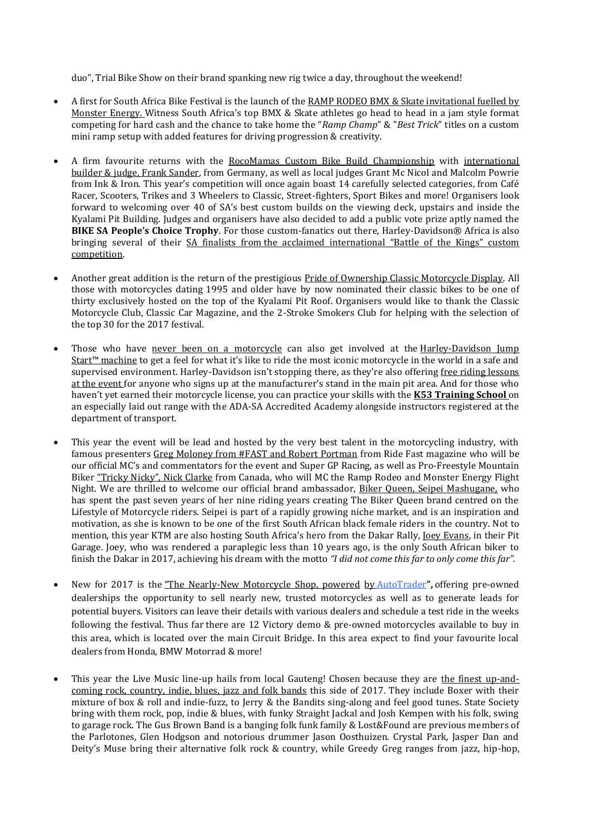duo", Trial Bike Show on their brand spanking new rig twice a day, throughout the weekend!

- A first for South Africa Bike Festival is the launch of the RAMP RODEO BMX & Skate invitational fuelled by Monster Energy. Witness South Africa's top BMX & Skate athletes go head to head in a jam style format competing for hard cash and the chance to take home the "*Ramp Champ*" & "*Best Trick*" titles on a custom mini ramp setup with added features for driving progression & creativity.
- A firm favourite returns with the RocoMamas Custom Bike Build Championship with international builder & judge, Frank Sander, from Germany, as well as local judges Grant Mc Nicol and Malcolm Powrie from Ink & Iron. This year's competition will once again boast 14 carefully selected categories, from Café Racer, Scooters, Trikes and 3 Wheelers to Classic, Street-fighters, Sport Bikes and more! Organisers look forward to welcoming over 40 of SA's best custom builds on the viewing deck, upstairs and inside the Kyalami Pit Building. Judges and organisers have also decided to add a public vote prize aptly named the **BIKE SA People's Choice Trophy**. For those custom-fanatics out there, Harley-Davidson® Africa is also bringing several of their SA finalists from the acclaimed international "Battle of the Kings" custom competition.
- Another great addition is the return of the prestigious Pride of Ownership Classic Motorcycle Display. All those with motorcycles dating 1995 and older have by now nominated their classic bikes to be one of thirty exclusively hosted on the top of the Kyalami Pit Roof. Organisers would like to thank the Classic Motorcycle Club, Classic Car Magazine, and the 2-Stroke Smokers Club for helping with the selection of the top 30 for the 2017 festival.
- Those who have never been on a motorcycle can also get involved at the Harley-Davidson Jump Start™ machine to get a feel for what it's like to ride the most iconic motorcycle in the world in a safe and supervised environment. Harley-Davidson isn't stopping there, as they're also offering free riding lessons at the event for anyone who signs up at the manufacturer's stand in the main pit area. And for those who haven't yet earned their motorcycle license, you can practice your skills with the **K53 Training School** on an especially laid out range with the ADA-SA Accredited Academy alongside instructors registered at the department of transport.
- This year the event will be lead and hosted by the very best talent in the motorcycling industry, with famous presenters Greg Moloney from #FAST and Robert Portman from Ride Fast magazine who will be our official MC's and commentators for the event and Super GP Racing, as well as Pro-Freestyle Mountain Biker "Tricky Nicky", Nick Clarke from Canada, who will MC the Ramp Rodeo and Monster Energy Flight Night. We are thrilled to welcome our official brand ambassador, Biker Queen, Seipei Mashugane, who has spent the past seven years of her nine riding years creating The Biker Queen brand centred on the Lifestyle of Motorcycle riders. Seipei is part of a rapidly growing niche market, and is an inspiration and motivation, as she is known to be one of the first South African black female riders in the country. Not to mention, this year KTM are also hosting South Africa's hero from the Dakar Rally, Joey Evans, in their Pit Garage. Joey, who was rendered a paraplegic less than 10 years ago, is the only South African biker to finish the Dakar in 2017, achieving his dream with the motto *"I did not come this far to only come this far".*
- New for 2017 is the "The Nearly-New Motorcycle Shop, powered by [AutoTrader](http://bikes.autotrader.co.za/used-motorcycles)**",** offering pre-owned dealerships the opportunity to sell nearly new, trusted motorcycles as well as to generate leads for potential buyers. Visitors can leave their details with various dealers and schedule a test ride in the weeks following the festival. Thus far there are 12 Victory demo & pre-owned motorcycles available to buy in this area, which is located over the main Circuit Bridge. In this area expect to find your favourite local dealers from Honda, BMW Motorrad & more!
- This year the Live Music line-up hails from local Gauteng! Chosen because they are the finest up-andcoming rock, country, indie, blues, jazz and folk bands this side of 2017. They include Boxer with their mixture of box & roll and indie-fuzz, to Jerry & the Bandits sing-along and feel good tunes. State Society bring with them rock, pop, indie & blues, with funky Straight Jackal and Josh Kempen with his folk, swing to garage rock. The Gus Brown Band is a banging folk funk family & Lost&Found are previous members of the Parlotones, Glen Hodgson and notorious drummer Jason Oosthuizen. Crystal Park, Jasper Dan and Deity's Muse bring their alternative folk rock & country, while Greedy Greg ranges from jazz, hip-hop,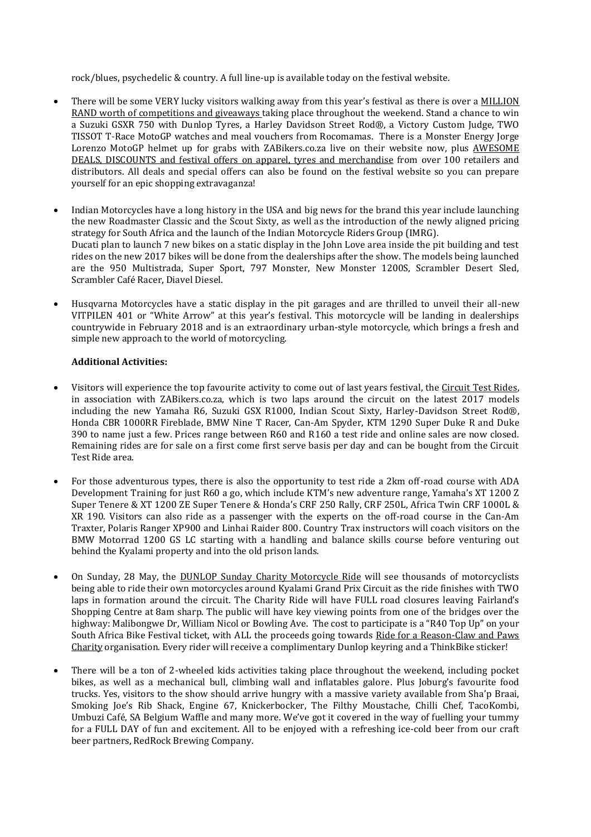rock/blues, psychedelic & country. A full line-up is available today on the festival website.

- There will be some VERY lucky visitors walking away from this year's festival as there is over a **MILLION** RAND worth of competitions and giveaways taking place throughout the weekend. Stand a chance to win a Suzuki GSXR 750 with Dunlop Tyres, a Harley Davidson Street Rod®, a Victory Custom Judge, TWO TISSOT T-Race MotoGP watches and meal vouchers from Rocomamas. There is a Monster Energy Jorge Lorenzo MotoGP helmet up for grabs with ZABikers.co.za live on their website now, plus AWESOME DEALS, DISCOUNTS and festival offers on apparel, tyres and merchandise from over 100 retailers and distributors. All deals and special offers can also be found on the festival website so you can prepare yourself for an epic shopping extravaganza!
- Indian Motorcycles have a long history in the USA and big news for the brand this year include launching the new Roadmaster Classic and the Scout Sixty, as well as the introduction of the newly aligned pricing strategy for South Africa and the launch of the Indian Motorcycle Riders Group (IMRG). Ducati plan to launch 7 new bikes on a static display in the John Love area inside the pit building and test rides on the new 2017 bikes will be done from the dealerships after the show. The models being launched are the 950 Multistrada, Super Sport, 797 Monster, New Monster 1200S, Scrambler Desert Sled, Scrambler Café Racer, Diavel Diesel.
- Husqvarna Motorcycles have a static display in the pit garages and are thrilled to unveil their all-new VITPILEN 401 or "White Arrow" at this year's festival. This motorcycle will be landing in dealerships countrywide in February 2018 and is an extraordinary urban-style motorcycle, which brings a fresh and simple new approach to the world of motorcycling.

## **Additional Activities:**

- Visitors will experience the top favourite activity to come out of last years festival, the Circuit Test Rides, in association with ZABikers.co.za, which is two laps around the circuit on the latest 2017 models including the new Yamaha R6, Suzuki GSX R1000, Indian Scout Sixty, Harley-Davidson Street Rod®, Honda CBR 1000RR Fireblade, BMW Nine T Racer, Can-Am Spyder, KTM 1290 Super Duke R and Duke 390 to name just a few. Prices range between R60 and R160 a test ride and online sales are now closed. Remaining rides are for sale on a first come first serve basis per day and can be bought from the Circuit Test Ride area.
- For those adventurous types, there is also the opportunity to test ride a 2km off-road course with ADA Development Training for just R60 a go, which include KTM's new adventure range, Yamaha's XT 1200 Z Super Tenere & XT 1200 ZE Super Tenere & Honda's CRF 250 Rally, CRF 250L, Africa Twin CRF 1000L & XR 190. Visitors can also ride as a passenger with the experts on the off-road course in the Can-Am Traxter, Polaris Ranger XP900 and Linhai Raider 800. Country Trax instructors will coach visitors on the BMW Motorrad 1200 GS LC starting with a handling and balance skills course before venturing out behind the Kyalami property and into the old prison lands.
- On Sunday, 28 May, the DUNLOP Sunday Charity Motorcycle Ride will see thousands of motorcyclists being able to ride their own motorcycles around Kyalami Grand Prix Circuit as the ride finishes with TWO laps in formation around the circuit. The Charity Ride will have FULL road closures leaving Fairland's Shopping Centre at 8am sharp. The public will have key viewing points from one of the bridges over the highway: Malibongwe Dr, William Nicol or Bowling Ave. The cost to participate is a "R40 Top Up" on your South Africa Bike Festival ticket, with ALL the proceeds going towards Ride for a Reason-Claw and Paws Charity organisation. Every rider will receive a complimentary Dunlop keyring and a ThinkBike sticker!
- There will be a ton of 2-wheeled kids activities taking place throughout the weekend, including pocket bikes, as well as a mechanical bull, climbing wall and inflatables galore. Plus Joburg's favourite food trucks. Yes, visitors to the show should arrive hungry with a massive variety available from Sha'p Braai, Smoking Joe's Rib Shack, Engine 67, Knickerbocker, The Filthy Moustache, Chilli Chef, TacoKombi, Umbuzi Café, SA Belgium Waffle and many more. We've got it covered in the way of fuelling your tummy for a FULL DAY of fun and excitement. All to be enjoyed with a refreshing ice-cold beer from our craft beer partners, RedRock Brewing Company.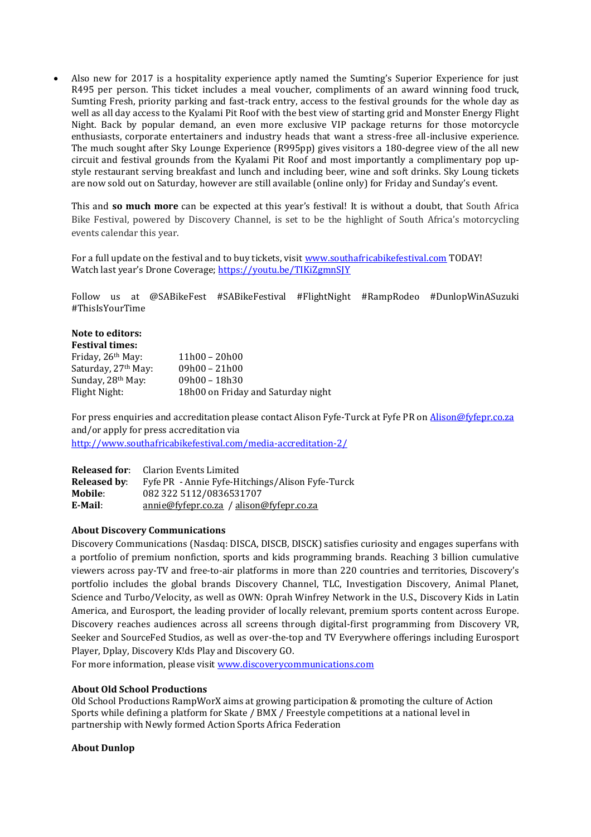Also new for 2017 is a hospitality experience aptly named the Sumting's Superior Experience for just R495 per person. This ticket includes a meal voucher, compliments of an award winning food truck, Sumting Fresh, priority parking and fast-track entry, access to the festival grounds for the whole day as well as all day access to the Kyalami Pit Roof with the best view of starting grid and Monster Energy Flight Night. Back by popular demand, an even more exclusive VIP package returns for those motorcycle enthusiasts, corporate entertainers and industry heads that want a stress-free all-inclusive experience. The much sought after Sky Lounge Experience (R995pp) gives visitors a 180-degree view of the all new circuit and festival grounds from the Kyalami Pit Roof and most importantly a complimentary pop upstyle restaurant serving breakfast and lunch and including beer, wine and soft drinks. Sky Loung tickets are now sold out on Saturday, however are still available (online only) for Friday and Sunday's event.

This and **so much more** can be expected at this year's festival! It is without a doubt, that South Africa Bike Festival, powered by Discovery Channel, is set to be the highlight of South Africa's motorcycling events calendar this year.

For a full update on the festival and to buy tickets, visit [www.southafricabikefestival.com](http://www.southafricabikefestival.com/) TODAY! Watch last year's Drone Coverage; <https://youtu.be/TIKiZgmnSJY>

Follow us at @SABikeFest #SABikeFestival #FlightNight #RampRodeo #DunlopWinASuzuki #ThisIsYourTime

#### **Note to editors: Festival times:**

| TESUVAI UIIIES.                 |                                    |
|---------------------------------|------------------------------------|
| Friday, 26 <sup>th</sup> May:   | $11h00 - 20h00$                    |
| Saturday, 27 <sup>th</sup> May: | $09h00 - 21h00$                    |
| Sunday, 28 <sup>th</sup> May:   | $09h00 - 18h30$                    |
| Flight Night:                   | 18h00 on Friday and Saturday night |

For press enquiries and accreditation please contact Alison Fyfe-Turck at Fyfe PR on [Alison@fyfepr.co.za](mailto:Alison@fyfepr.co.za) and/or apply for press accreditation via <http://www.southafricabikefestival.com/media-accreditation-2/>

| <b>Released for:</b> | <b>Clarion Events Limited</b>                    |
|----------------------|--------------------------------------------------|
| Released by:         | Fyfe PR - Annie Fyfe-Hitchings/Alison Fyfe-Turck |
| Mobile:              | 082 322 5112/0836531707                          |
| E-Mail:              | annie@fvfepr.co.za / alison@fyfepr.co.za         |

### **About Discovery Communications**

Discovery Communications (Nasdaq: DISCA, DISCB, DISCK) satisfies curiosity and engages superfans with a portfolio of premium nonfiction, sports and kids programming brands. Reaching 3 billion cumulative viewers across pay-TV and free-to-air platforms in more than 220 countries and territories, Discovery's portfolio includes the global brands Discovery Channel, TLC, Investigation Discovery, Animal Planet, Science and Turbo/Velocity, as well as OWN: Oprah Winfrey Network in the U.S., Discovery Kids in Latin America, and Eurosport, the leading provider of locally relevant, premium sports content across Europe. Discovery reaches audiences across all screens through digital-first programming from Discovery VR, Seeker and SourceFed Studios, as well as over-the-top and TV Everywhere offerings including Eurosport Player, Dplay, Discovery K!ds Play and Discovery GO.

For more information, please visit [www.discoverycommunications.com](http://www.discoverycommunications.com/)

### **About Old School Productions**

Old School Productions RampWorX aims at growing participation & promoting the culture of Action Sports while defining a platform for Skate / BMX / Freestyle competitions at a national level in partnership with Newly formed Action Sports Africa Federation

## **About Dunlop**